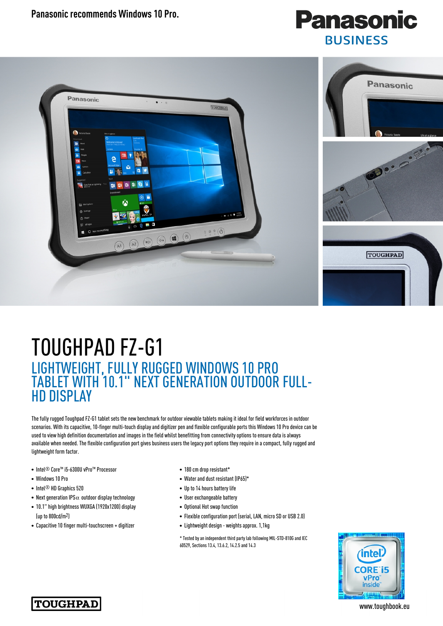**Panasonic recommends Windows 10 Pro.** 





## TOUGHPAD FZ-G1 LIGHTWEIGHT, FULLY RUGGED WINDOWS 10 PRO TABLET WITH 10.1" NEXT GENERATION OUTDOOR FULL-HD DISPLAY

The fully rugged Toughpad FZ-G1 tablet sets the new benchmark for outdoor viewable tablets making it ideal for field workforces in outdoor scenarios. With its capacitive, 10-finger multi-touch display and digitizer pen and flexible configurable ports this Windows 10 Pro device can be used to view high definition documentation and images in the field whilst benefitting from connectivity options to ensure data is always available when needed. The flexible configuration port gives business users the legacy port options they require in a compact, fully rugged and lightweight form factor.

- Intel® Core™ i5-6300U vPro™ Processor
- Windows 10 Pro
- Intel<sup>®</sup> HD Graphics 520
- Next generation IPS $\alpha$  outdoor display technology
- 10.1" high brightness WUXGA (1920x1200) display (up to 800cd/m2)
- Capacitive 10 finger multi-touchscreen + digitizer
- 180 cm drop resistant\*
- Water and dust resistant (IP65)\*
- Up to 14 hours battery life
- User exchangeable battery
- Optional Hot swap function
- Flexible configuration port (serial, LAN, micro SD or USB 2.0)
- Lightweight design weights approx. 1,1kg

\* Tested by an independent third party lab following MIL-STD-810G and IEC 60529, Sections 13.4, 13.6.2, 14.2.5 and 14.3